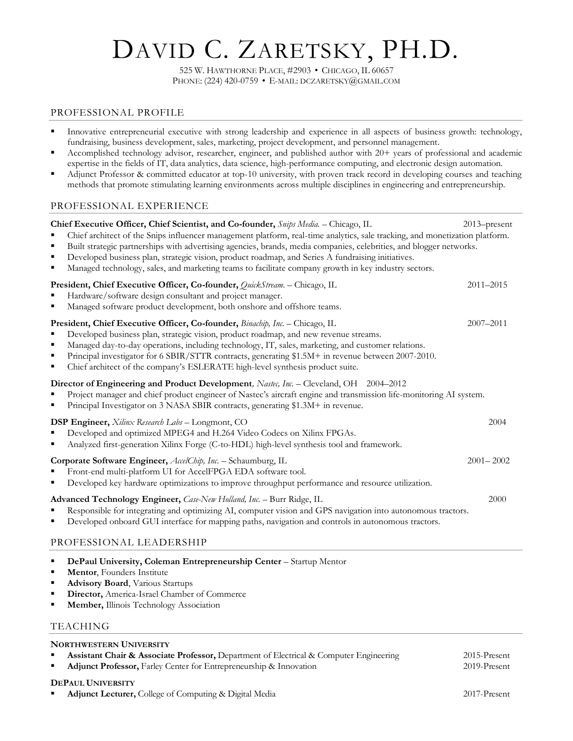# DAVID C. ZARETSKY, PH.D.

525 W. HAWTHORNE PLACE, #2903 • CHICAGO, IL 60657 PHONE: (224) 420-0759 • E-MAIL: DCZARETSKY@GMAIL.COM

## PROFESSIONAL PROFILE

- Innovative entrepreneurial executive with strong leadership and experience in all aspects of business growth: technology, fundraising, business development, sales, marketing, project development, and personnel management.
- Accomplished technology advisor, researcher, engineer, and published author with 20+ years of professional and academic expertise in the fields of IT, data analytics, data science, high-performance computing, and electronic design automation.
- Adjunct Professor & committed educator at top-10 university, with proven track record in developing courses and teaching methods that promote stimulating learning environments across multiple disciplines in engineering and entrepreneurship.

## PROFESSIONAL EXPERIENCE

| Chief Executive Officer, Chief Scientist, and Co-founder, Snips Media. - Chicago, IL<br>Chief architect of the Snips influencer management platform, real-time analytics, sale tracking, and monetization platform.<br>Built strategic partnerships with advertising agencies, brands, media companies, celebrities, and blogger networks.<br>٠<br>Developed business plan, strategic vision, product roadmap, and Series A fundraising initiatives.<br>٠<br>Managed technology, sales, and marketing teams to facilitate company growth in key industry sectors. | 2013-present  |  |  |  |  |  |
|-------------------------------------------------------------------------------------------------------------------------------------------------------------------------------------------------------------------------------------------------------------------------------------------------------------------------------------------------------------------------------------------------------------------------------------------------------------------------------------------------------------------------------------------------------------------|---------------|--|--|--|--|--|
| President, Chief Executive Officer, Co-founder, QuickStream. - Chicago, IL<br>Hardware/software design consultant and project manager.<br>Managed software product development, both onshore and offshore teams.<br>٠                                                                                                                                                                                                                                                                                                                                             | $2011 - 2015$ |  |  |  |  |  |
| President, Chief Executive Officer, Co-founder, Binachip, Inc. - Chicago, IL<br>Developed business plan, strategic vision, product roadmap, and new revenue streams.<br>Managed day-to-day operations, including technology, IT, sales, marketing, and customer relations.<br>п<br>Principal investigator for 6 SBIR/STTR contracts, generating \$1.5M+ in revenue between 2007-2010.<br>п<br>Chief architect of the company's ESLERATE high-level synthesis product suite.                                                                                       | $2007 - 2011$ |  |  |  |  |  |
| Director of Engineering and Product Development, Nastee, Inc. - Cleveland, OH 2004-2012<br>Project manager and chief product engineer of Nastec's aircraft engine and transmission life-monitoring AI system.<br>Principal Investigator on 3 NASA SBIR contracts, generating \$1.3M+ in revenue.                                                                                                                                                                                                                                                                  |               |  |  |  |  |  |
| <b>DSP Engineer,</b> Xilinx Research Labs - Longmont, CO<br>Developed and optimized MPEG4 and H.264 Video Codecs on Xilinx FPGAs.<br>Analyzed first-generation Xilinx Forge (C-to-HDL) high-level synthesis tool and framework.                                                                                                                                                                                                                                                                                                                                   | 2004          |  |  |  |  |  |
| Corporate Software Engineer, AccelChip, Inc. - Schaumburg, IL<br>Front-end multi-platform UI for AccelFPGA EDA software tool.<br>Developed key hardware optimizations to improve throughput performance and resource utilization.                                                                                                                                                                                                                                                                                                                                 | $2001 - 2002$ |  |  |  |  |  |
| Advanced Technology Engineer, Case-New Holland, Inc. - Burr Ridge, IL<br>Responsible for integrating and optimizing AI, computer vision and GPS navigation into autonomous tractors.<br>Developed onboard GUI interface for mapping paths, navigation and controls in autonomous tractors.                                                                                                                                                                                                                                                                        | 2000          |  |  |  |  |  |
| PROFESSIONAL LEADERSHIP                                                                                                                                                                                                                                                                                                                                                                                                                                                                                                                                           |               |  |  |  |  |  |

- **DePaul University, Coleman Entrepreneurship Center** Startup Mentor
- **Mentor**, Founders Institute
- **Advisory Board**, Various Startups
- **Director, America-Israel Chamber of Commerce**
- **Member, Illinois Technology Association**

## TEACHING

#### **NORTHWESTERN UNIVERSITY**

- **Assistant Chair & Associate Professor,** Department of Electrical & Computer Engineering 2015-Present
- **Adjunct Professor,** Farley Center for Entrepreneurship & Innovation 2019-Present

## **DEPAUL UNIVERSITY**

**Adjunct Lecturer, College of Computing & Digital Media** 2017-Present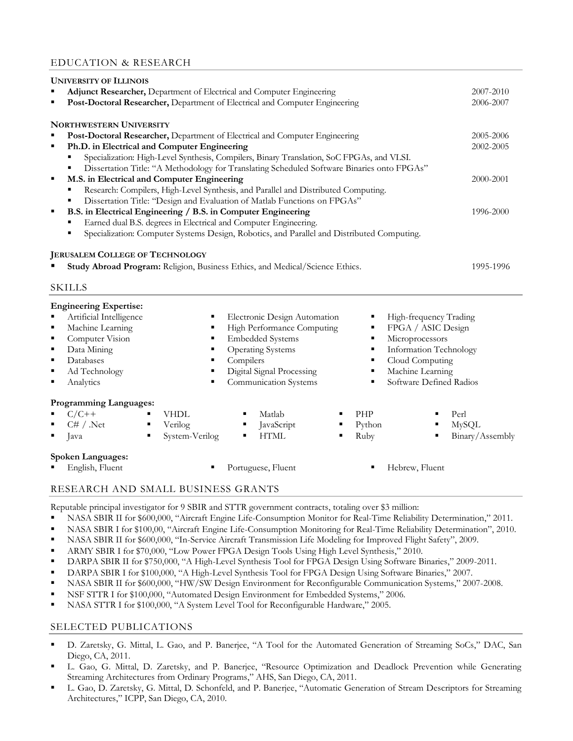## EDUCATION & RESEARCH

|                                                                                                | <b>UNIVERSITY OF ILLINOIS</b>                                                                 |                |                                                                                            |                 |                                              |                 |
|------------------------------------------------------------------------------------------------|-----------------------------------------------------------------------------------------------|----------------|--------------------------------------------------------------------------------------------|-----------------|----------------------------------------------|-----------------|
|                                                                                                | Adjunct Researcher, Department of Electrical and Computer Engineering                         |                |                                                                                            |                 |                                              |                 |
| ٠                                                                                              | Post-Doctoral Researcher, Department of Electrical and Computer Engineering                   |                |                                                                                            |                 |                                              |                 |
|                                                                                                | <b>NORTHWESTERN UNIVERSITY</b>                                                                |                |                                                                                            |                 |                                              |                 |
| Post-Doctoral Researcher, Department of Electrical and Computer Engineering<br>٠               |                                                                                               |                |                                                                                            |                 |                                              | 2005-2006       |
| $\blacksquare$                                                                                 | Ph.D. in Electrical and Computer Engineering                                                  |                |                                                                                            |                 |                                              | 2002-2005       |
| Specialization: High-Level Synthesis, Compilers, Binary Translation, SoC FPGAs, and VLSI.<br>٠ |                                                                                               |                |                                                                                            |                 |                                              |                 |
|                                                                                                | ٠                                                                                             |                | Dissertation Title: "A Methodology for Translating Scheduled Software Binaries onto FPGAs" |                 |                                              |                 |
| ٠                                                                                              | M.S. in Electrical and Computer Engineering                                                   |                |                                                                                            |                 |                                              |                 |
| Research: Compilers, High-Level Synthesis, and Parallel and Distributed Computing.<br>٠        |                                                                                               |                |                                                                                            |                 |                                              |                 |
|                                                                                                | ٠                                                                                             |                | Dissertation Title: "Design and Evaluation of Matlab Functions on FPGAs"                   |                 |                                              |                 |
| ٠                                                                                              | B.S. in Electrical Engineering / B.S. in Computer Engineering                                 |                |                                                                                            |                 |                                              | 1996-2000       |
|                                                                                                | Earned dual B.S. degrees in Electrical and Computer Engineering.                              |                |                                                                                            |                 |                                              |                 |
|                                                                                                | ٠                                                                                             |                | Specialization: Computer Systems Design, Robotics, and Parallel and Distributed Computing. |                 |                                              |                 |
|                                                                                                | Study Abroad Program: Religion, Business Ethics, and Medical/Science Ethics.<br><b>SKILLS</b> |                |                                                                                            |                 |                                              | 1995-1996       |
|                                                                                                |                                                                                               |                |                                                                                            |                 |                                              |                 |
| ٠                                                                                              | <b>Engineering Expertise:</b>                                                                 |                |                                                                                            |                 |                                              |                 |
| ٠                                                                                              | Artificial Intelligence<br>Machine Learning                                                   | ٠              | Electronic Design Automation<br>High Performance Computing                                 | ٠               | High-frequency Trading<br>FPGA / ASIC Design |                 |
| ٠                                                                                              | Computer Vision                                                                               | ٠              | <b>Embedded Systems</b>                                                                    | ٠               | Microprocessors                              |                 |
| $\blacksquare$                                                                                 | Data Mining                                                                                   | ٠              | <b>Operating Systems</b>                                                                   | ٠               | Information Technology                       |                 |
| ٠                                                                                              | Databases<br>Compilers<br>٠<br>٠                                                              |                |                                                                                            | Cloud Computing |                                              |                 |
| $\blacksquare$                                                                                 | Ad Technology                                                                                 | ٠              | Digital Signal Processing                                                                  | ٠               | Machine Learning                             |                 |
| ٠                                                                                              | Analytics                                                                                     | ٠              | Communication Systems                                                                      | ٠               | Software Defined Radios                      |                 |
|                                                                                                | <b>Programming Languages:</b>                                                                 |                |                                                                                            |                 |                                              |                 |
|                                                                                                | $C/C++$<br><b>VHDL</b>                                                                        |                | Matlab                                                                                     | PHP             |                                              | Perl            |
| $\blacksquare$                                                                                 | C# / .Net<br>Verilog<br>$\blacksquare$                                                        |                | JavaScript<br>٠                                                                            | Python          | $\blacksquare$                               | <b>MySQL</b>    |
| $\blacksquare$                                                                                 | $\blacksquare$<br>Java                                                                        | System-Verilog | <b>HTML</b><br>٠<br>٠                                                                      | Ruby            | ٠                                            | Binary/Assembly |
|                                                                                                | <b>Spoken Languages:</b>                                                                      |                |                                                                                            |                 |                                              |                 |
|                                                                                                | English, Fluent                                                                               |                | Portuguese, Fluent                                                                         |                 | Hebrew, Fluent                               |                 |
|                                                                                                |                                                                                               |                |                                                                                            |                 |                                              |                 |

## RESEARCH AND SMALL BUSINESS GRANTS

Reputable principal investigator for 9 SBIR and STTR government contracts, totaling over \$3 million:

- NASA SBIR II for \$600,000, "Aircraft Engine Life-Consumption Monitor for Real-Time Reliability Determination," 2011.
- NASA SBIR I for \$100,00, "Aircraft Engine Life-Consumption Monitoring for Real-Time Reliability Determination", 2010.
- NASA SBIR II for \$600,000, "In-Service Aircraft Transmission Life Modeling for Improved Flight Safety", 2009.
- ARMY SBIR I for \$70,000, "Low Power FPGA Design Tools Using High Level Synthesis," 2010.
- DARPA SBIR II for \$750,000, "A High-Level Synthesis Tool for FPGA Design Using Software Binaries," 2009-2011.
- DARPA SBIR I for \$100,000, "A High-Level Synthesis Tool for FPGA Design Using Software Binaries," 2007.
- NASA SBIR II for \$600,000, "HW/SW Design Environment for Reconfigurable Communication Systems," 2007-2008.
- NSF STTR I for \$100,000, "Automated Design Environment for Embedded Systems," 2006.
- NASA STTR I for \$100,000, "A System Level Tool for Reconfigurable Hardware," 2005.

## SELECTED PUBLICATIONS

- D. Zaretsky, G. Mittal, L. Gao, and P. Banerjee, "A Tool for the Automated Generation of Streaming SoCs," DAC, San Diego, CA, 2011.
- L. Gao, G. Mittal, D. Zaretsky, and P. Banerjee, "Resource Optimization and Deadlock Prevention while Generating Streaming Architectures from Ordinary Programs," AHS, San Diego, CA, 2011.
- L. Gao, D. Zaretsky, G. Mittal, D. Schonfeld, and P. Banerjee, "Automatic Generation of Stream Descriptors for Streaming Architectures," ICPP, San Diego, CA, 2010.